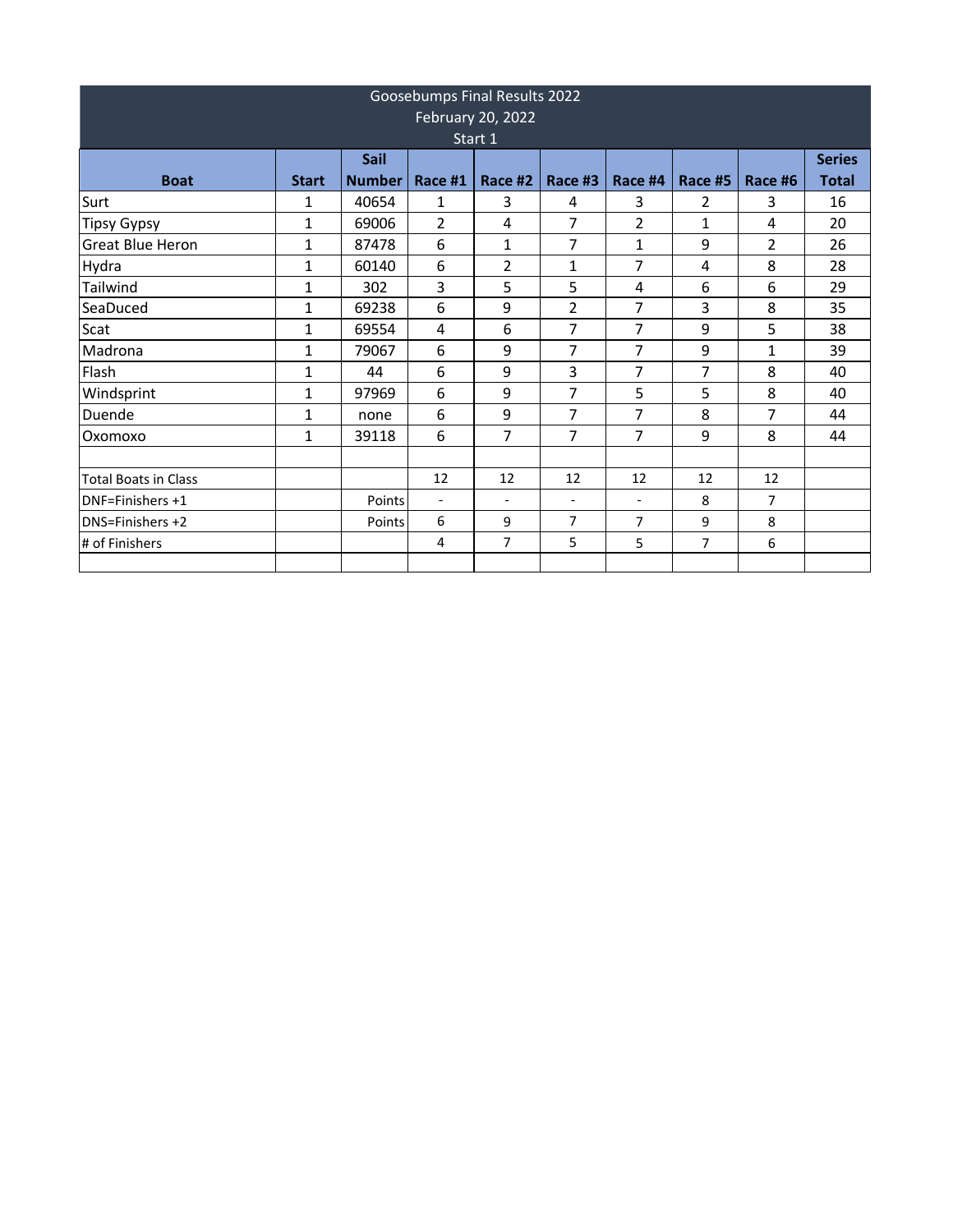| Goosebumps Final Results 2022<br>February 20, 2022 |              |               |                          |                          |                          |                          |         |                |               |  |  |
|----------------------------------------------------|--------------|---------------|--------------------------|--------------------------|--------------------------|--------------------------|---------|----------------|---------------|--|--|
| Start 1                                            |              |               |                          |                          |                          |                          |         |                |               |  |  |
|                                                    |              | Sail          |                          |                          |                          |                          |         |                | <b>Series</b> |  |  |
| <b>Boat</b>                                        | <b>Start</b> | <b>Number</b> | Race #1                  | Race #2                  | Race #3                  | Race #4                  | Race #5 | Race #6        | <b>Total</b>  |  |  |
| Surt                                               | 1            | 40654         | 1                        | 3                        | 4                        | 3                        | 2       | 3              | 16            |  |  |
| <b>Tipsy Gypsy</b>                                 | $\mathbf{1}$ | 69006         | 2                        | 4                        | 7                        | 2                        | 1       | 4              | 20            |  |  |
| <b>Great Blue Heron</b>                            | $\mathbf{1}$ | 87478         | 6                        | 1                        | $\overline{7}$           | $\mathbf{1}$             | 9       | $\overline{2}$ | 26            |  |  |
| Hydra                                              | 1            | 60140         | 6                        | 2                        | 1                        | 7                        | 4       | 8              | 28            |  |  |
| Tailwind                                           | 1            | 302           | 3                        | 5                        | 5                        | 4                        | 6       | 6              | 29            |  |  |
| SeaDuced                                           | $\mathbf{1}$ | 69238         | 6                        | 9                        | $\overline{2}$           | 7                        | 3       | 8              | 35            |  |  |
| Scat                                               | 1            | 69554         | 4                        | 6                        | 7                        | 7                        | 9       | 5              | 38            |  |  |
| Madrona                                            | $\mathbf{1}$ | 79067         | 6                        | 9                        | $\overline{7}$           | 7                        | 9       | 1              | 39            |  |  |
| Flash                                              | $\mathbf{1}$ | 44            | 6                        | 9                        | 3                        | 7                        | 7       | 8              | 40            |  |  |
| Windsprint                                         | 1            | 97969         | 6                        | 9                        | 7                        | 5                        | 5       | 8              | 40            |  |  |
| Duende                                             | $\mathbf{1}$ | none          | 6                        | 9                        | 7                        | 7                        | 8       | 7              | 44            |  |  |
| Oxomoxo                                            | $\mathbf{1}$ | 39118         | 6                        | 7                        | 7                        | 7                        | 9       | 8              | 44            |  |  |
|                                                    |              |               |                          |                          |                          |                          |         |                |               |  |  |
| <b>Total Boats in Class</b>                        |              |               | 12                       | 12                       | 12                       | 12                       | 12      | 12             |               |  |  |
| <b>DNF=Finishers +1</b>                            |              | Points        | $\overline{\phantom{a}}$ | $\overline{\phantom{a}}$ | $\overline{\phantom{a}}$ | $\overline{\phantom{a}}$ | 8       | $\overline{7}$ |               |  |  |
| <b>IDNS=Finishers +2</b>                           |              | Points        | 6                        | 9                        | $\overline{7}$           | $\overline{7}$           | 9       | 8              |               |  |  |
| # of Finishers                                     |              |               | 4                        | 7                        | 5                        | 5                        | 7       | 6              |               |  |  |
|                                                    |              |               |                          |                          |                          |                          |         |                |               |  |  |